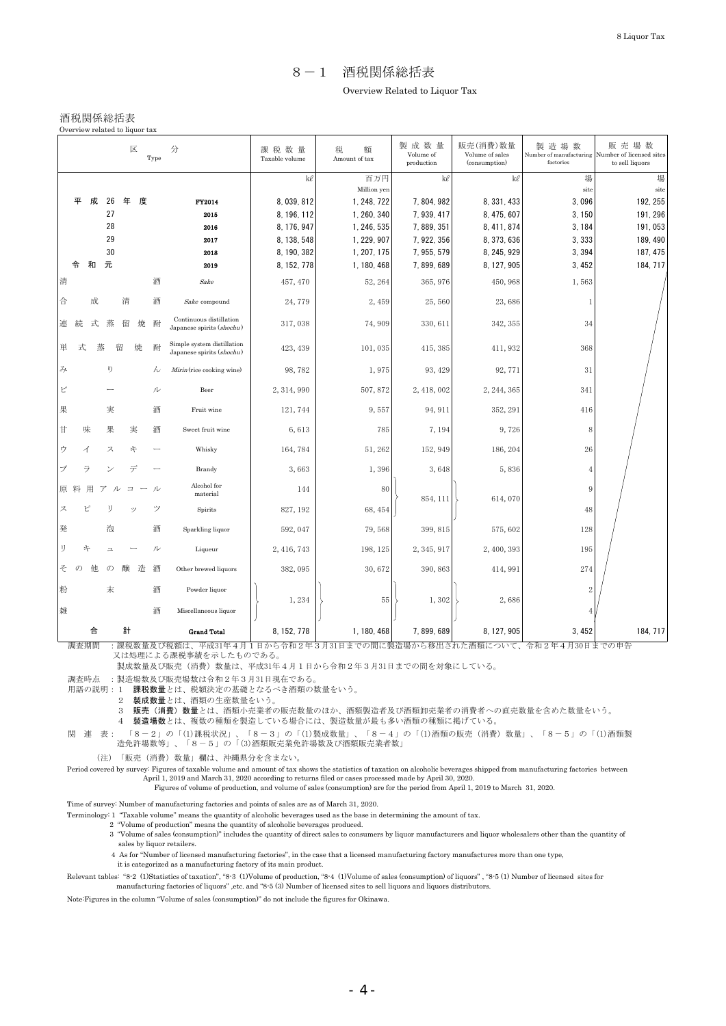## 8-1 酒税関係総括表 Overview Related to Liquor Tax

### 酒税関係総括表

Overview related to liquor tax

| 区<br>分<br>Type |          |   |                                 |         |        |                                                         | 課税数量<br>Taxable volume | 税<br>額<br>Amount of tax   | 製成数量<br>Volume of<br>production | 販売(消費)数量<br>Volume of sales<br>(consumption) | 製造場数<br>Number of manufacturing<br>factories | 販売場数<br>Number of licensed sites<br>to sell liquors |
|----------------|----------|---|---------------------------------|---------|--------|---------------------------------------------------------|------------------------|---------------------------|---------------------------------|----------------------------------------------|----------------------------------------------|-----------------------------------------------------|
|                |          |   |                                 |         |        |                                                         | $k\ell$                | 百万円<br>Million yen        | $k\ell$                         | kl                                           | 場<br>site                                    | 場<br>site                                           |
|                | 平        | 成 | 26                              | 年       | 度      | FY2014                                                  | 8,039,812              | 1, 248, 722               | 7, 804, 982                     | 8, 331, 433                                  | 3,096                                        | 192, 255                                            |
|                |          |   | 27                              |         |        | 2015                                                    | 8, 196, 112            | 1, 260, 340               | 7, 939, 417                     | 8, 475, 607                                  | 3, 150                                       | 191, 296                                            |
|                |          |   | 28                              |         |        | 2016                                                    | 8, 176, 947            | 1, 246, 535               | 7, 889, 351                     | 8, 411, 874                                  | 3, 184                                       | 191,053                                             |
|                |          |   | 29                              |         |        | 2017                                                    | 8, 138, 548            | 1, 229, 907               | 7, 922, 356                     | 8, 373, 636                                  | 3,333                                        | 189, 490                                            |
|                |          |   | 30                              |         |        | 2018                                                    | 8, 190, 382            | 1, 207, 175               | 7, 955, 579                     | 8, 245, 929                                  | 3,394                                        | 187, 475                                            |
|                | 令        | 和 | 元                               |         |        | 2019                                                    | 8, 152, 778            | 1, 180, 468               | 7, 899, 689                     | 8, 127, 905                                  | 3, 452                                       | 184, 717                                            |
| 清              |          |   |                                 |         | 酒      | Sake                                                    | 457, 470               | 52, 264                   | 365, 976                        | 450, 968                                     | 1,563                                        |                                                     |
| 合              |          | 成 |                                 | 清       | 酒      | Sake compound                                           | 24,779                 | 2,459                     | 25,560                          | 23,686                                       | $\mathbf{1}$                                 |                                                     |
| 連              | 続        | 式 | 蒸                               | 留       | 酎<br>焼 | Continuous distillation<br>Japanese spirits (shochu)    | 317,038                | 74,909                    | 330, 611                        | 342, 355                                     | 34                                           |                                                     |
| 単              | 式        |   | 蒸                               | 留<br>焼  | 酎      | Simple system distillation<br>Japanese spirits (shochu) | 423, 439               | 101,035                   | 415, 385                        | 411, 932                                     | 368                                          |                                                     |
| $\overline{A}$ |          |   | V)                              |         |        | Mirin (rice cooking wine)<br>ん                          | 98,782                 | 1,975                     | 93, 429                         | 92, 771                                      | 31                                           |                                                     |
| ビ              |          |   |                                 |         | ル      | Beer                                                    | 2, 314, 990            | 507,872                   | 2, 418, 002                     | 2, 244, 365                                  | 341                                          |                                                     |
| 果              |          |   | 実                               |         |        | 酒<br>Fruit wine                                         | 121, 744               | 9,557                     | 94, 911                         | 352, 291                                     | 416                                          |                                                     |
| Ħ              |          | 味 | 果                               | 実       | 酒      | Sweet fruit wine                                        | 6,613                  | 785                       | 7,194                           | 9,726                                        | 8                                            |                                                     |
| ゥ              |          | イ | ス                               | 午       |        | Whisky                                                  | 164,784                | 51, 262                   | 152, 949                        | 186, 204                                     | 26                                           |                                                     |
|                |          | ラ | $\scriptstyle\!\!\!\!\!\!\!\!/$ | デ       |        | Brandy                                                  | 3,663                  | 1,396                     | 3,648                           | 5,836                                        | $\overline{4}$                               |                                                     |
| 原 料            |          | 用 |                                 | $\Box$  | ル      | Alcohol for<br>material                                 | 144                    | 80                        | 854, 111                        | 614,070                                      | $\,9$                                        |                                                     |
| ス              |          | ピ | IJ                              |         | ツ      | Spirits                                                 | 827, 192               | 68, 454                   |                                 |                                              | $48\,$                                       |                                                     |
| 発              |          |   | 泡                               |         | 酒      | Sparkling liquor                                        | 592, 047               | 79,568                    | 399, 815                        | 575,602                                      | 128                                          |                                                     |
| IJ             |          | 午 | $\overline{u}$                  |         | ル      | Liqueur                                                 | 2, 416, 743            | 198, 125                  | 2, 345, 917                     | 2, 400, 393                                  | 195                                          |                                                     |
| そ              | $\sigma$ | 他 | $\sigma$                        | 醸       | 造<br>酒 | Other brewed liquors                                    | 382,095                | 30,672                    | 390, 863                        | 414, 991                                     | 274                                          |                                                     |
| 粉              |          |   | 末                               |         | 酒      | Powder liquor                                           | 1,234                  | 55                        | 1,302                           | 2,686                                        | $\overline{2}$                               |                                                     |
| 雑              |          |   |                                 |         | 酒      | Miscellaneous liquor                                    |                        |                           |                                 |                                              |                                              |                                                     |
|                | 調本期則     | 合 |                                 | 計<br>细的 |        | <b>Grand Total</b>                                      | 8, 152, 778<br>◬<br>り年 | 1, 180, 468<br>土がの明に制造担かと | 7,899,689<br>移山され               | 8, 127, 905                                  | 3,452<br>△壬⊓9年                               | 184, 717<br>日20日までの中生                               |

調査期間 :課税数量及び税額は、平成31年4月1日から令和2年3月31日までの間に製造場から移出された酒類について、令和2年4月30日までの申告

又は処理による課税事績を示したものである。

製成数量及び販売(消費)数量は、平成31年4月1日から令和2年3月31日までの間を対象にしている。

調査時点 :製造場数及び販売場数は令和2年3月31日現在である。

用語の説明:1 課税数量とは、税額決定の基礎となるべき酒類の数量をいう。

2 製成数量とは、酒類の生産数量をいう。

3 販売(消費)数量とは、酒類小売業者の販売数量のほか、酒類製造者及び酒類卸売業者の消費者への直売数量を含めた数量をいう。

4 製造場数とは、複数の種類を製造している場合には、製造数量が最も多い酒類の種類に掲げている。

関 連 表: 「8-2」の「(1)課税状況」、「8-3」の「(1)製成数量」、「8-4」の「(1)酒類の販売(消費)数量」、「8-5」の「(1)酒類製 造免許場数等」、「8-5」の「(3)酒類販売業免許場数及び酒類販売業者数」

(注)「販売(消費)数量」欄は、沖縄県分を含まない。

 Period covered by survey: Figures of taxable volume and amount of tax shows the statistics of taxation on alcoholic beverages shipped from manufacturing factories between April 1, 2019 and March 31, 2020 according to returns filed or cases processed made by April 30, 2020. Figures of volume of production, and volume of sales (consumption) are for the period from April 1, 2019 to March 31, 2020.

Time of survey: Number of manufacturing factories and points of sales are as of March 31, 2020.

Terminology: 1 "Taxable volume" means the quantity of alcoholic beverages used as the base in determining the amount of tax.

2 "Volume of production" means the quantity of alcoholic beverages produced.

3 "Volume of sales (consumption)" includes the quantity of direct sales to consumers by liquor manufacturers and liquor wholesalers other than the quantity of sales by liquor retailers.

4 As for "Number of licensed manufacturing factories", in the case that a licensed manufacturing factory manufactures more than one type,

it is categorized as a manufacturing factory of its main product.

 Relevant tables: "8-2 (1)Statistics of taxation", "8-3 (1)Volume of production, "8-4 (1)Volume of sales (consumption) of liquors" , "8-5 (1) Number of licensed sites for manufacturing factories of liquors", etc. and "8-5 (3) Number of licensed sites to sell liquors and liquors distributors.

Note:Figures in the column "Volume of sales (consumption)" do not include the figures for Okinawa.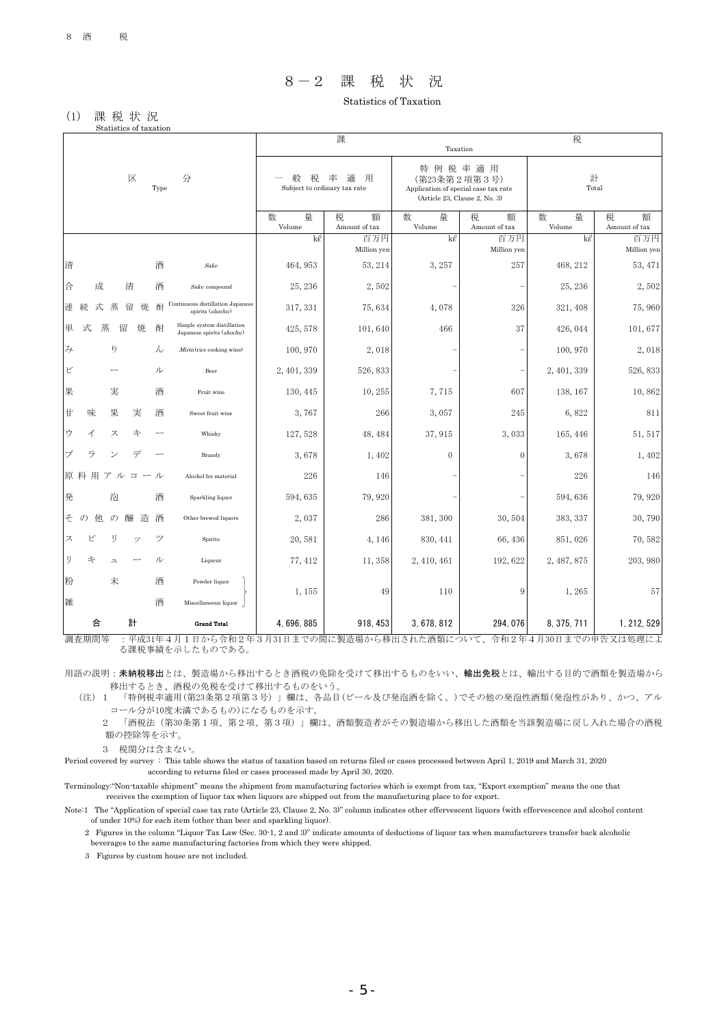# 8-2 課 税 状 況

Statistics of Taxation

#### (1) 課 税 状 況 Statistics of taxation

|                               |               |               |        |        |                                                         |                  | 課                                           |                  | Taxation                                                                                        | 税                |                         |
|-------------------------------|---------------|---------------|--------|--------|---------------------------------------------------------|------------------|---------------------------------------------|------------------|-------------------------------------------------------------------------------------------------|------------------|-------------------------|
|                               |               |               | 区      | Type   | 分                                                       | 棿                | 用<br>率<br>適<br>Subject to ordinary tax rate |                  | 特例税率適用<br>(第23条第2項第3号)<br>Application of special case tax rate<br>(Article 23, Clause 2, No. 3) | 計<br>Total       |                         |
|                               |               |               |        |        |                                                         | 数<br>量<br>Volume | 税<br>額<br>Amount of tax                     | 数<br>量<br>Volume | 額<br>税<br>Amount of tax                                                                         | 数<br>量<br>Volume | 税<br>額<br>Amount of tax |
|                               |               |               |        |        |                                                         | ke               | 百万円<br>Million yen                          | ke               | 百万円<br>Million yen                                                                              | kl               | 百万円<br>Million yen      |
| 清                             |               |               |        | 酒      | Sake                                                    | 464, 953         | 53, 214                                     | 3, 257           | 257                                                                                             | 468, 212         | 53, 471                 |
| 合                             | 成             |               | 清      | 酒      | Sake compound                                           | 25, 236          | 2,502                                       |                  |                                                                                                 | 25, 236          | 2,502                   |
| 連                             | 続<br>式        | 蒸             | 留      | 酎<br>焼 | Continuous distillation Japanese<br>spirits (shochu)    | 317, 331         | 75,634                                      | 4,078            | 326                                                                                             | 321, 408         | 75,960                  |
| 単                             | 式             | 蒸             | 留<br>焼 | 酎      | Simple system distillation<br>Japanese spirits (shochu) | 425, 578         | 101,640                                     | 466              | 37                                                                                              | 426, 044         | 101,677                 |
| $\mathcal{Z}_{\!\mathcal{F}}$ |               | ŋ             |        | ん      | Mirin (rice cooking wine)                               | 100, 970         | 2,018                                       |                  |                                                                                                 | 100, 970         | 2,018                   |
| ビ                             |               |               |        | ル      | Beer                                                    | 2, 401, 339      | 526, 833                                    |                  |                                                                                                 | 2, 401, 339      | 526, 833                |
| 果                             |               | 実             |        | 酒      | Fruit wine                                              | 130, 445         | 10,255                                      | 7,715            | 607                                                                                             | 138, 167         | 10,862                  |
| 甘                             | 味             | 果             | 実      | 酒      | Sweet fruit wine                                        | 3,767            | 266                                         | 3,057            | 245                                                                                             | 6,822            | 811                     |
| ゥ                             | イ             | ス             | 午      |        | Whisky                                                  | 127, 528         | 48, 484                                     | 37, 915          | 3,033                                                                                           | 165, 446         | 51, 517                 |
| ブ                             | ラ             |               | デ      |        | Brandy                                                  | 3,678            | 1,402                                       | $\mathbf{0}$     | $\theta$                                                                                        | 3,678            | 1,402                   |
|                               | 原料用ア          |               | コ      | ル      | Alcohol for material                                    | 226              | 146                                         |                  |                                                                                                 | 226              | 146                     |
| 発                             |               | 泡             |        | 酒      | Sparkling liquor                                        | 594, 635         | 79,920                                      |                  |                                                                                                 | 594, 636         | 79,920                  |
| そ                             | $\sigma$<br>他 | $\mathcal{O}$ | 醸      | 造<br>酒 | Other brewed liquors                                    | 2,037            | 286                                         | 381, 300         | 30,504                                                                                          | 383, 337         | 30,790                  |
| ス                             | ピ             | IJ            | ŵ)     | ツ      | Spirits                                                 | 20,581           | 4, 146                                      | 830, 441         | 66, 436                                                                                         | 851,026          | 70,582                  |
| IJ                            | 卞             | 그             |        | ル      | Liqueur                                                 | 77, 412          | 11,358                                      | 2, 410, 461      | 192, 622                                                                                        | 2, 487, 875      | 203, 980                |
| 粉<br>雑                        |               | 末             |        | 酒<br>酒 | Powder liquor<br>Miscellaneous liquor                   | 1,155            | 49                                          | 110              | 9                                                                                               | 1,265            | 57                      |
| $-5127 - 46$                  | 合             |               | 計      |        | <b>Grand Total</b>                                      | 4, 696, 885      | 918, 453                                    | 3,678,812        | 294, 076                                                                                        | 8, 375, 711      | 1, 212, 529             |

調査期間等 :平成31年4月1日から令和2年3月31日までの間に製造場から移出された酒類について、令和2年4月30日までの申告又は処理によ る課税事績を示したものである。

用語の説明:未納税移出とは、製造場から移出するとき酒税の免除を受けて移出するものをいい、輸出免税とは、輸出する目的で酒類を製造場から 移出するとき、酒税の免税を受けて移出するものをいう。

 (注)1 「特例税率適用(第23条第2項第3号)」欄は、各品目(ビール及び発泡酒を除く。)でその他の発泡性酒類(発泡性があり、かつ、アル コール分が10度未満であるもの)になるものを示す。

 2 「酒税法(第30条第1項、第2項、第3項)」欄は、酒類製造者がその製造場から移出した酒類を当該製造場に戻し入れた場合の酒税 額の控除等を示す。

3 税関分は含まない。

Period covered by survey : This table shows the status of taxation based on returns filed or cases processed between April 1, 2019 and March 31, 2020 according to returns filed or cases processed made by April 30, 2020.

Terminology:"Non-taxable shipment" means the shipment from manufacturing factories which is exempt from tax, "Export exemption" means the one that receives the exemption of liquor tax when liquors are shipped out from the manufacturing place to for export.

Note:1 The "Application of special case tax rate (Article 23, Clause 2, No. 3)" column indicates other effervescent liquors (with effervescence and alcohol content of under 10%) for each item (other than beer and sparkling liquor).

 2 Figures in the column "Liquor Tax Law (Sec. 30-1, 2 and 3)" indicate amounts of deductions of liquor tax when manufacturers transfer back alcoholic beverages to the same manufacturing factories from which they were shipped.

3 Figures by custom house are not included.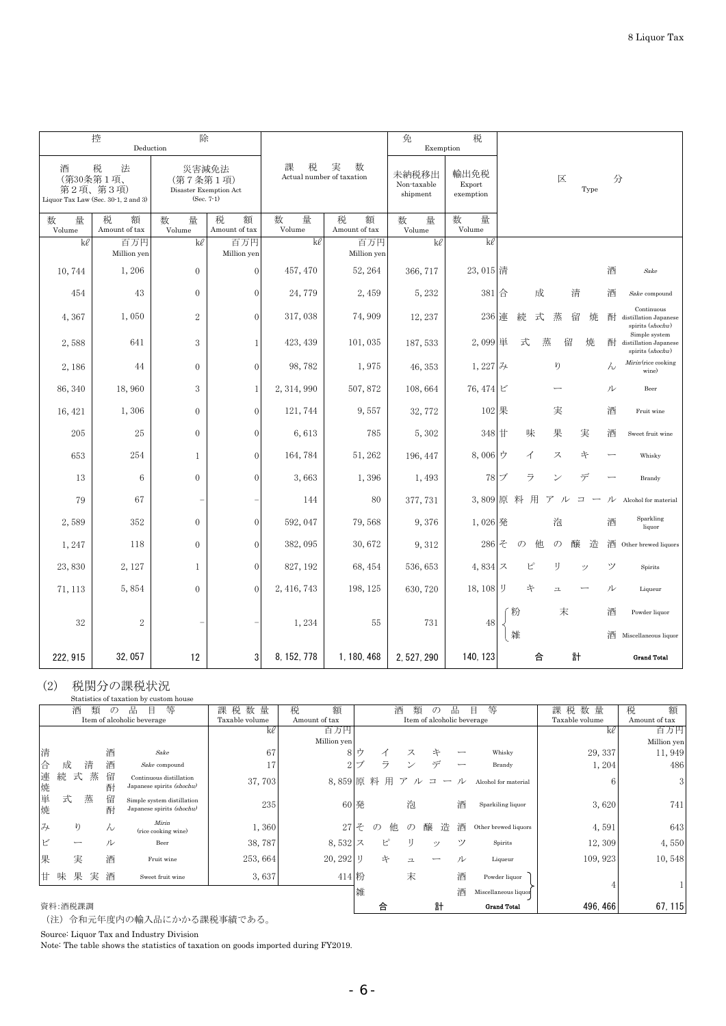|                  | 控<br>Deduction                                                         | 除                                                           |                         |                                               |                         | 免<br>Exemption                                                  | 税                   |                                |                         |                                                                 |
|------------------|------------------------------------------------------------------------|-------------------------------------------------------------|-------------------------|-----------------------------------------------|-------------------------|-----------------------------------------------------------------|---------------------|--------------------------------|-------------------------|-----------------------------------------------------------------|
| 酒                | 税<br>法<br>(第30条第1項、<br>第2項、第3項)<br>Liquor Tax Law (Sec. 30-1, 2 and 3) | 災害減免法<br>(第7条第1項)<br>Disaster Exemption Act<br>$(Sec. 7-1)$ |                         | 課<br>実<br>数<br>税<br>Actual number of taxation |                         | 輸出免税<br>未納税移出<br>Export<br>Non-taxable<br>shipment<br>exemption |                     |                                | 区<br>Type               | 分                                                               |
| 数<br>量<br>Volume | 税<br>額<br>Amount of tax                                                | 数<br>量<br>Volume                                            | 税<br>額<br>Amount of tax | 数<br>量<br>Volume                              | 税<br>額<br>Amount of tax | 数<br>量<br>Volume                                                | 数<br>量<br>Volume    |                                |                         |                                                                 |
| kl               | 百万円<br>Million yen                                                     | kl                                                          | 百万円<br>Million yen      | kl                                            | 百万円<br>Million yen      | kl                                                              | kl                  |                                |                         |                                                                 |
| 10,744           | 1,206                                                                  | $\mathbf{0}$                                                | $\vert 0 \vert$         | 457, 470                                      | 52, 264                 | 366, 717                                                        | 23, 015 清           |                                |                         | 酒<br>Sake                                                       |
| 454              | 43                                                                     | $\mathbf{0}$                                                | $\theta$                | 24,779                                        | 2,459                   | 5,232                                                           | 381 合               | 成                              | 清                       | 酒<br>Sake compound                                              |
| 4,367            | 1,050                                                                  | 2                                                           | $\Omega$                | 317,038                                       | 74,909                  | 12, 237                                                         | 236                 | 式<br>連<br>続                    | 蒸<br>留<br>焼             | Continuous<br>酎<br>distillation Japanese<br>spirits (shochu)    |
| 2,588            | 641                                                                    | 3                                                           |                         | 423, 439                                      | 101,035                 | 187, 533                                                        | 2,099 単             | 蒸<br>式                         | 留<br>焼                  | Simple system<br>酎<br>distillation Japanese<br>spirits (shochu) |
| 2,186            | 44                                                                     | $\mathbf{0}$                                                | $\theta$                | 98,782                                        | 1,975                   | 46, 353                                                         | 1, 227 $\cancel{3}$ |                                | ŋ                       | Mirin (rice cooking<br>$\lambda$<br>wine)                       |
| 86, 340          | 18,960                                                                 | 3                                                           | 1                       | 2, 314, 990                                   | 507,872                 | 108,664                                                         | 76, 474 ビ           |                                |                         | ル<br>Beer                                                       |
| 16, 421          | 1,306                                                                  | $\theta$                                                    | $\Omega$                | 121, 744                                      | 9,557                   | 32, 772                                                         | 102 果               |                                | 実                       | 酒<br>Fruit wine                                                 |
| 205              | 25                                                                     | $\mathbf{0}$                                                | $\theta$                | 6,613                                         | 785                     | 5,302                                                           | 348 甘               | 味                              | 果<br>実                  | 酒<br>Sweet fruit wine                                           |
| 653              | 254                                                                    | 1                                                           | $\overline{0}$          | 164,784                                       | 51, 262                 | 196, 447                                                        | 8,006               | ゥ<br>イ                         | ス<br>午                  | Whisky                                                          |
| 13               | $6\phantom{1}6$                                                        | $\theta$                                                    | $\Omega$                | 3,663                                         | 1,396                   | 1,493                                                           | 78                  | ラ<br>ブ                         | デ<br>ン                  | Brandy                                                          |
| 79               | 67                                                                     |                                                             |                         | 144                                           | 80                      | 377, 731                                                        |                     | 3,809 原料<br>用<br>$\mathcal{T}$ | ル<br>$\equiv$           | ル<br>Alcohol for material                                       |
| 2,589            | 352                                                                    | $\mathbf{0}$                                                | $\Omega$                | 592, 047                                      | 79,568                  | 9,376                                                           | 1,026 発             |                                | 泡                       | Sparkling<br>酒<br>liquor                                        |
| 1,247            | 118                                                                    | $\mathbf{0}$                                                | $\theta$                | 382, 095                                      | 30,672                  | 9,312                                                           | 286                 | そ<br>$\mathcal{O}$<br>他        | $\mathcal{O}$<br>醸<br>造 | 酒<br>Other brewed liquors                                       |
| 23,830           | 2, 127                                                                 | $\mathbf{1}$                                                | $\mathbf{0}$            | 827, 192                                      | 68, 454                 | 536, 653                                                        | 4,834               | ス<br>ピ                         | IJ<br>ツ                 | ツ<br>Spirits                                                    |
| 71, 113          | 5,854                                                                  | $\mathbf{0}$                                                | $\mathbf{0}$            | 2, 416, 743                                   | 198, 125                | 630, 720                                                        | 18, 108             | IJ<br>午                        | 그                       | ル<br>Liqueur                                                    |
| 32               | $\mathbf{2}$                                                           |                                                             |                         | 1,234                                         | 55                      | 731                                                             | 48                  | 粉                              | 末                       | 酒<br>Powder liquor                                              |
|                  |                                                                        |                                                             |                         |                                               |                         |                                                                 |                     | 雑                              |                         | 酒 Miscellaneous liquor                                          |
| 222, 915         | 32,057                                                                 | 12                                                          | 3                       | 8, 152, 778                                   | 1, 180, 468             | 2, 527, 290                                                     | 140, 123            | 合                              | 計                       | <b>Grand Total</b>                                              |

## (2) 税関分の課税状況

|                |           |        |               | Statistics of taxation by custom house                  |                |                |               |               |                          |                            |   |                      |                |               |
|----------------|-----------|--------|---------------|---------------------------------------------------------|----------------|----------------|---------------|---------------|--------------------------|----------------------------|---|----------------------|----------------|---------------|
|                | 酒         | 類      | $\mathcal{D}$ | 等<br>品<br>目                                             | 量<br>課税数       | 額<br>税         |               | 酒             | 類                        | $\mathcal{O}$              | 品 | 等<br>目               | 税 数<br>量<br>課  | 税<br>額        |
|                |           |        |               | Item of alcoholic beverage                              | Taxable volume | Amount of tax  |               |               |                          | Item of alcoholic beverage |   |                      | Taxable volume | Amount of tax |
|                | 百万円<br>ke |        |               |                                                         |                |                |               |               |                          |                            |   |                      | kl             | 百万円           |
|                |           |        |               |                                                         |                | Million yen    |               |               |                          |                            |   |                      |                | Million yen   |
| 清              |           |        | 酒             | Sake                                                    | 67             |                | 宀             | ◢             | ス                        | キ                          |   | Whisky               | 29, 337        | 11,949        |
| 合              | 成         | 清      | 酒             | Sake compound                                           | 17             | ി              | $\rightarrow$ | ラ             |                          | $\rightleftarrows$         |   | Brandy               | 1,204          | 486           |
| 連焼             | 続         | 蒸<br>式 | 留<br>酎        | Continuous distillation<br>Japanese spirits (shochu)    | 37,703         | 8,859原料        |               | 用             | ル                        |                            | ル | Alcohol for material | 6              | 3             |
| 単焼             | 式         | 蒸      | 留<br>酎        | Simple system distillation<br>Japanese spirits (shochu) | 235            |                | 60 発          |               | 泡                        |                            | 酒 | Sparkiling liquor    | 3,620          | 741           |
| $\overline{z}$ |           | り      | $\lambda$     | Mirin<br>(rice cooking wine)                            | 1,360          | 27             | $\ddot{\tau}$ | 他<br>$\sigma$ | $\sigma$                 | 诰<br>醸                     | 酒 | Other brewed liquors | 4,591          | 643           |
| ビ              |           |        | ル             | Beer                                                    | 38,787         | 8,532 $\times$ |               | ピ             |                          | $\mathcal{P}$              | ツ | Spirits              | 12,309         | 4,550         |
| 果              |           | 実      | 酒             | Fruit wine                                              | 253,664        | 20, 292        | IJ            | 午             | $\overline{\phantom{a}}$ |                            | ル | Liqueur              | 109, 923       | 10,548        |
| 甘              | 味         | 果<br>実 | 酒             | Sweet fruit wine                                        | 3,637          | 414 粉          |               |               | 末                        |                            | 酒 | Powder liquor        |                |               |
|                |           |        |               |                                                         |                |                | 雑             |               |                          |                            | 酒 | Miscellaneous liquor |                |               |
|                | 資料:酒税課調   |        |               |                                                         |                |                |               |               |                          | 計                          |   | <b>Grand Total</b>   | 496.466        | 67, 115       |

(注)令和元年度内の輸入品にかかる課税事績である。

Source: Liquor Tax and Industry Division

Note: The table shows the statistics of taxation on goods imported during FY2019.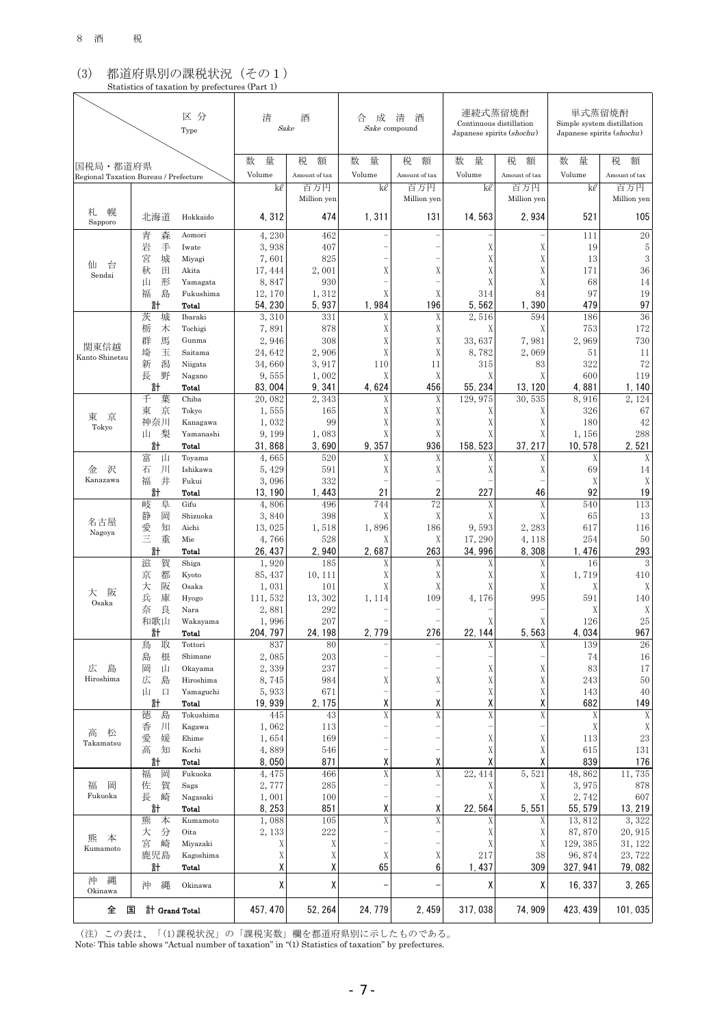## (3) 都道府県別の課税状況(その1) Statistics of taxation by prefectures (Part 1)

|                                                   |                   | 区分<br>Type          | 清                | 酒<br>Sake          | 成<br>合<br>Sake compound | 清<br>酒             | 連続式蒸留焼酎<br>Continuous distillation<br>Japanese spirits (shochu) |                    | 単式蒸留焼酎<br>Simple system distillation<br>Japanese spirits (shochu) |                    |  |
|---------------------------------------------------|-------------------|---------------------|------------------|--------------------|-------------------------|--------------------|-----------------------------------------------------------------|--------------------|-------------------------------------------------------------------|--------------------|--|
|                                                   |                   |                     | 量<br>数           | 税<br>額             | 数<br>量                  | 税<br>額             | 数<br>量                                                          | 税<br>額             | 数<br>量                                                            | 税<br>額             |  |
| 国税局・都道府県<br>Regional Taxation Bureau / Prefecture |                   |                     | Volume           | Amount of tax      | Volume                  | Amount of tax      | Volume                                                          | Amount of tax      | Volume                                                            | Amount of tax      |  |
|                                                   |                   |                     | kl               | 百万円<br>Million yen | kl                      | 百万円<br>Million yen | kl                                                              | 百万円<br>Million yen | kl                                                                | 百万円<br>Million yen |  |
| 札<br>幌<br>Sapporo                                 | 北海道               | Hokkaido            | 4, 312           | 474                | 1,311                   | 131                | 14, 563                                                         | 2,934              | 521                                                               | 105                |  |
|                                                   | 青<br>森            | Aomori              | 4,230            | 462                |                         |                    |                                                                 |                    | 111                                                               | 20                 |  |
|                                                   | 岩<br>手<br>宮<br>城  | Iwate<br>Miyagi     | 3,938<br>7,601   | 407<br>825         |                         |                    | X<br>X                                                          | Χ<br>X             | 19<br>13                                                          | 5<br>3             |  |
| 仙<br>台<br>Sendai                                  | 秋<br>田            | Akita               | 17, 444          | 2,001              | X                       | X                  | X                                                               | X                  | 171                                                               | 36                 |  |
|                                                   | 形<br>Щ            | Yamagata            | 8,847            | 930                |                         |                    | X                                                               | X                  | 68                                                                | 14                 |  |
|                                                   | 福<br>島            | Fukushima           | 12, 170          | 1,312              | X                       | X                  | 314                                                             | 84                 | 97                                                                | 19                 |  |
|                                                   | 計<br>茨<br>城       | Total<br>Ibaraki    | 54, 230<br>3,310 | 5,937<br>331       | 1,984<br>X              | 196<br>X           | 5,562<br>2,516                                                  | 390<br>1.<br>594   | 479<br>186                                                        | 97<br>36           |  |
|                                                   | 栃<br>木            | Tochigi             | 7,891            | 878                | X                       | X                  | Χ                                                               | X                  | 753                                                               | 172                |  |
| 関東信越                                              | 馬<br>群            | Gunma               | 2,946            | 308                | X                       | X                  | 33,637                                                          | 7,981              | 2.969                                                             | 730                |  |
| Kanto Shinetsu                                    | 玉<br>埼            | Saitama             | 24, 642          | 2,906              | X                       | Χ                  | 8,782                                                           | 2,069              | 51                                                                | 11                 |  |
|                                                   | 新<br>潟            | Niigata             | 34,660           | 3,917              | 110                     | 11                 | 315                                                             | 83                 | 322                                                               | 72                 |  |
|                                                   | 野<br>長<br>計       | Nagano<br>Total     | 9,555<br>83,004  | 1,002<br>9,341     | Χ<br>4,624              | X<br>456           | Χ<br>55, 234                                                    | X<br>13.120        | 600<br>4,881                                                      | 119<br>1, 140      |  |
|                                                   | 千<br>葉            | Chiba               | 20,082           | 2,343              | X                       | X                  | 129, 975                                                        | 30,535             | 8,916                                                             | 2.124              |  |
| 東<br>京                                            | 東<br>京            | Tokyo               | 1,555            | 165                | Χ                       | Χ                  | Χ                                                               | Χ                  | 326                                                               | 67                 |  |
| Tokyo                                             | 神奈川               | Kanagawa            | 1,032            | 99                 | X                       | X                  | Χ                                                               | X                  | 180                                                               | 42                 |  |
|                                                   | 梨<br>Щ            | Yamanashi           | 9,199<br>31.868  | 1,083              | Χ<br>9,357              | X<br>936           | Χ                                                               | Χ                  | 1,156                                                             | 288                |  |
|                                                   | 計<br>富<br>Щ       | Total<br>Toyama     | 4,665            | 3,690<br>520       | X                       | X                  | 158, 523<br>X                                                   | 37, 217<br>X       | 10, 578<br>X                                                      | 2,521<br>X         |  |
| 沢<br>金                                            | 石<br>ЛI           | Ishikawa            | 5, 429           | 591                | X                       | X                  | Χ                                                               | Χ                  | 69                                                                | 14                 |  |
| Kanazawa                                          | 福<br>井            | Fukui               | 3,096            | 332                |                         |                    |                                                                 |                    | X                                                                 | Χ                  |  |
|                                                   | 計                 | Total               | 13, 190          | 1, 443             | 21                      | 2                  | 227                                                             | 46                 | 92                                                                | 19                 |  |
|                                                   | 岐<br>阜<br>静<br>岡  | Gifu<br>Shizuoka    | 4,806<br>3,840   | 496<br>398         | 744<br>X                | 72<br>X            | Χ<br>Χ                                                          | X<br>X             | 540<br>65                                                         | 113<br>13          |  |
| 名古屋                                               | 愛<br>知            | Aichi               | 13,025           | 1,518              | 1,896                   | 186                | 9,593                                                           | 2,283              | 617                                                               | 116                |  |
| Nagoya                                            | Ξ<br>重            | Mie                 | 4,766            | 528                | Χ                       | Χ                  | 17,290                                                          | 4, 118             | 254                                                               | 50                 |  |
|                                                   | 計                 | Total               | 26, 437          | 2,940              | 2,687                   | 263                | 34,996                                                          | 8,308              | 1, 476                                                            | 293                |  |
|                                                   | 滋<br>賀            | Shiga               | 1,920            | 185                | X                       | X                  | Χ                                                               | X                  | 16                                                                | 3                  |  |
|                                                   | 都<br>京<br>大<br>阪  | Kyoto<br>Osaka      | 85, 437<br>1,031 | 10, 111<br>101     | X<br>X                  | X<br>X             | X<br>Χ                                                          | Χ<br>X             | 1,719                                                             | 410<br>Χ           |  |
| 大<br>阪                                            | 兵<br>庫            | Hyogo               | 111,532          | 13, 302            | 1, 114                  | 109                | 4,176                                                           | 995                | Χ<br>591                                                          | 140                |  |
| Osaka                                             | 奈<br>良            | Nara                | 2,881            | 292                |                         |                    |                                                                 |                    | Χ                                                                 | X                  |  |
|                                                   | 和歌山               | Wakayama            | 1,996            | 207                |                         |                    | χ                                                               | X                  | 126                                                               | 25                 |  |
|                                                   | 計                 | Total               | 204, 797         | 24, 198            | 2, 779                  | 276                | 22, 144                                                         | 5, 563             | 4,034                                                             | 967                |  |
|                                                   | 取<br>鳥<br>島<br>根  | Tottori<br>Shimane  | 837<br>2,085     | 80<br>203          |                         |                    | Å                                                               | X<br>-             | 139<br>74                                                         | 26<br>16           |  |
| 広<br>島                                            | 岡<br>Щ            | Okayama             | 2,339            | 237                |                         |                    | Χ                                                               | Χ                  | 83                                                                | 17                 |  |
| Hiroshima                                         | 広<br>島            | Hiroshima           | 8,745            | 984                | X                       | X                  | X                                                               | X                  | 243                                                               | 50                 |  |
|                                                   | 山<br>$\Box$       | Yamaguchi           | 5,933            | 671                |                         | -                  | X                                                               | X                  | 143                                                               | 40                 |  |
|                                                   | 計                 | Total               | 19, 939          | 2, 175             | χ                       | χ                  | χ                                                               | χ                  | 682                                                               | 149                |  |
|                                                   | 徳<br>島<br>香<br>ЛI | Tokushima<br>Kagawa | 445<br>1,062     | 43<br>113          | X                       | X                  | X                                                               | X                  | X<br>X                                                            | Χ<br>X             |  |
| 高<br>松                                            | 愛<br>媛            | Ehime               | 1,654            | 169                |                         |                    | X                                                               | X                  | 113                                                               | $\rm 23$           |  |
| Takamatsu                                         | 高<br>知            | Kochi               | 4,889            | 546                |                         |                    | X                                                               | X                  | 615                                                               | 131                |  |
|                                                   | 計                 | Total               | 8,050            | 871                | χ                       | χ                  | χ                                                               | χ                  | 839                                                               | 176                |  |
|                                                   | 福<br>岡            | Fukuoka             | 4, 475           | 466                | X                       | $\mathbf X$        | 22, 414                                                         | 5,521              | 48,862                                                            | 11,735             |  |
| 福<br>岡<br>Fukuoka                                 | 佐<br>賀<br>崎<br>長  | Saga<br>Nagasaki    | 2,777<br>1,001   | 285<br>100         |                         |                    | Χ<br>X                                                          | Χ<br>X             | 3,975<br>2,742                                                    | 878<br>607         |  |
|                                                   | 計                 | Total               | 8, 253           | 851                | χ                       | χ                  | 22, 564                                                         | 5,551              | 55, 579                                                           | 13, 219            |  |
|                                                   | 熊<br>本            | Kumamoto            | 1,088            | 105                | $\mathbf X$             | X                  | Χ                                                               | Χ                  | 13,812                                                            | 3,322              |  |
| 熊<br>本                                            | 大<br>分            | Oita                | 2, 133           | 222                |                         |                    | Χ                                                               | X                  | 87,870                                                            | 20, 915            |  |
| Kumamoto                                          | 宮<br>崎            | Miyazaki            | Χ                | Χ                  |                         |                    | Χ                                                               | Χ                  | 129, 385                                                          | 31, 122            |  |
|                                                   | 鹿児島<br>計          | Kagoshima<br>Total  | Χ<br>χ           | Χ<br>χ             | X<br>65                 | X<br>6             | 217<br>1, 437                                                   | 38<br>309          | 96, 874<br>327, 941                                               | 23, 722<br>79,082  |  |
| 縄<br>沖<br>Okinawa                                 | 縄<br>沖            | Okinawa             | χ                | χ                  |                         |                    | χ                                                               | χ                  | 16, 337                                                           | 3, 265             |  |
| 全<br>国                                            |                   | 計 Grand Total       | 457, 470         | 52, 264            | 24, 779                 | 2, 459             | 317,038                                                         | 74, 909            | 423, 439                                                          | 101, 035           |  |

(注)この表は、「(1)課税状況」の「課税実数」欄を都道府県別に示したものである。

Note: This table shows "Actual number of taxation" in "(1) Statistics of taxation" by prefectures.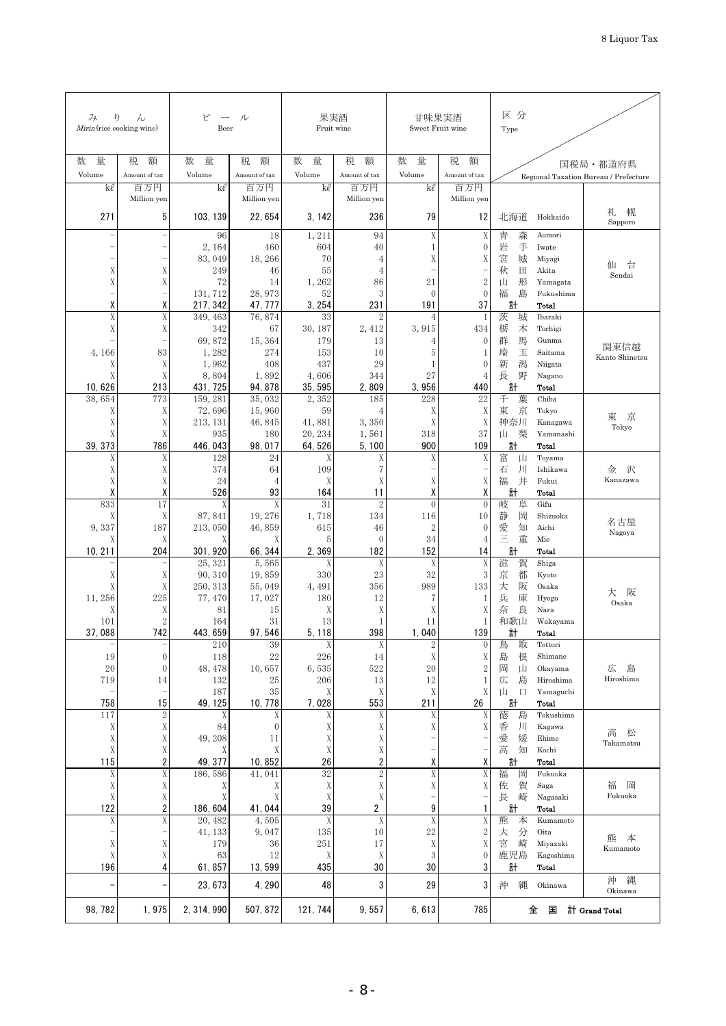| ŋ<br>み<br>Mirin (rice cooking wine) | h                  | ビ<br>Beer           | ル                    | 果実酒<br>Fruit wine |                         | 甘味果実酒<br>Sweet Fruit wine   |                         | 区分<br>Type                         |                           |                                       |
|-------------------------------------|--------------------|---------------------|----------------------|-------------------|-------------------------|-----------------------------|-------------------------|------------------------------------|---------------------------|---------------------------------------|
| 量<br>数                              | 税<br>額             | 数<br>量              | 税<br>額               | 数<br>量            | 税<br>額                  | 数<br>量                      | 税<br>額                  |                                    |                           | 国税局・都道府県                              |
| Volume                              | Amount of tax      | Volume              | Amount of tax        | Volume            | Amount of tax           | Volume                      | Amount of tax           |                                    |                           | Regional Taxation Bureau / Prefecture |
| kl                                  | 百万円<br>Million yen | kl                  | 百万円<br>Million yen   | kl                | 百万円<br>Million yen      | kl                          | 百万円<br>Million yen      |                                    |                           |                                       |
| 271                                 | 5                  |                     |                      |                   |                         | 79                          |                         |                                    |                           | 幌<br>札                                |
|                                     |                    | 103, 139            | 22, 654              | 3, 142            | 236                     |                             | 12                      | 北海道                                | Hokkaido                  | Sapporo                               |
|                                     |                    | 96<br>2, 164        | 18<br>460            | 1,211<br>604      | 94<br>40                | $\mathbf X$<br>$\mathbf{1}$ | X<br>$\mathbf{0}$       | 森<br>青<br>岩<br>手                   | Aomori<br>Iwate           |                                       |
|                                     |                    | 83,049              | 18, 266              | 70                | 4                       | X                           | Χ                       | 宮<br>城                             | Miyagi                    | 仙<br>台                                |
| X<br>X                              | X<br>X             | 249<br>72           | 46<br>14             | 55<br>1,262       | 4<br>86                 | 21                          | $\sqrt{2}$              | 秋<br>田<br>形<br>Щ                   | Akita<br>Yamagata         | Sendai                                |
|                                     |                    | 131, 712            | 28, 973              | 52                | 3                       | $\mathbf{0}$                | $\mathbf{0}$            | 福<br>島                             | Fukushima                 |                                       |
| χ<br>X                              | X<br>X             | 217, 342            | 47, 777              | 3, 254            | 231                     | 191                         | 37                      | 計                                  | Total                     |                                       |
| X                                   | Χ                  | 349, 463<br>342     | 76,874<br>67         | 33<br>30, 187     | $\overline{c}$<br>2,412 | 4<br>3,915                  | 1<br>434                | 茨<br>城<br>栃<br>木                   | Ibaraki<br>Tochigi        |                                       |
|                                     |                    | 69,872              | 15, 364              | 179               | 13                      | 4                           | $\theta$                | 群<br>馬                             | Gunma                     | 関東信越                                  |
| 4,166<br>Χ                          | 83<br>Χ            | 1,282<br>1,962      | 274<br>408           | 153<br>437        | 10<br>29                | 5<br>1                      | 1<br>$\mathbf{0}$       | 埼<br>玉<br>潟<br>新                   | Saitama<br>Niigata        | Kanto Shinetsu                        |
| X                                   | X                  | 8,804               | 1,892                | 4,606             | 344                     | 27                          | 4                       | 長<br>野                             | Nagano                    |                                       |
| 10.626                              | 213<br>773         | 431, 725            | 94, 878              | 35, 595           | 2,809                   | 3,956                       | 440                     | 計<br>千<br>葉                        | Total<br>Chiba            |                                       |
| 38,654<br>Χ                         | Χ                  | 159, 281<br>72,696  | 35,032<br>15,960     | 2,352<br>59       | 185<br>4                | 228<br>Χ                    | 22<br>X                 | 京<br>東                             | Tokyo                     |                                       |
| X                                   | X                  | 213, 131            | 46,845               | 41,881            | 3,350                   | X                           | X                       | 神奈川                                | Kanagawa                  | 東<br>京<br>Tokyo                       |
| X<br>39, 373                        | X<br>786           | 935<br>446, 043     | 180<br>98, 017       | 20, 234<br>64,526 | 1,561<br>5, 100         | 318<br>900                  | 37<br>109               | 梨<br>山<br>計                        | Yamanashi<br>Total        |                                       |
| X                                   | X                  | 128                 | 24                   | Χ                 | X                       | X                           | Χ                       | 富<br>Щ                             | Toyama                    |                                       |
| X<br>X                              | Χ<br>Χ             | 374<br>24           | 64<br>$\overline{4}$ | 109<br>Χ          | 7<br>Χ                  | X                           | Χ                       | $\vert \vert \vert$<br>石<br>福<br>井 | Ishikawa<br>Fukui         | 沢<br>金<br>Kanazawa                    |
| X                                   | X                  | 526                 | 93                   | 164               | 11                      | X                           | χ                       | 計                                  | Total                     |                                       |
| 833                                 | 17                 | X                   | X                    | 31                | $\overline{2}$          | $\theta$                    | $\theta$                | 岐<br>阜                             | Gifu                      |                                       |
| Χ<br>9,337                          | Χ<br>187           | 87,841<br>213,050   | 19, 276<br>46,859    | 1,718<br>615      | 134<br>46               | 116<br>$\overline{c}$       | 10<br>$\mathbf{0}$      | 岡<br>静<br>愛<br>知                   | Shizuoka<br>Aichi         | 名古屋                                   |
| Χ                                   | Χ                  | Χ                   | Χ                    | 5                 | $\theta$                | 34                          | 4                       | Ξ<br>重                             | Mie                       | Nagoya                                |
| 10, 211                             | 204                | 301, 920<br>25, 321 | 66, 344<br>5,565     | 2,369<br>Χ        | 182<br>Χ                | 152<br>X                    | 14<br>X                 | 計<br>滋<br>賀                        | Total<br>Shiga            |                                       |
| X                                   | Χ                  | 90, 310             | 19,859               | 330               | 23                      | 32                          | 3                       | 都<br>京                             | Kyoto                     |                                       |
| X                                   | Χ                  | 250, 313            | 55, 049              | 4,491             | 356                     | 989                         | 133                     | 大<br>阪<br>兵                        | Osaka                     | 阪<br>大                                |
| 11,256<br>Χ                         | 225<br>Χ           | 77,470<br>81        | 17,027<br>15         | 180<br>X          | 12<br>X                 | 7<br>X                      | 1<br>Χ                  | 庫<br>奈<br>良                        | Hyogo<br>Nara             | Osaka                                 |
| 101                                 | $\sqrt{2}$         | 164                 | 31                   | 13                | 1                       | 11                          | 1                       | 和歌山                                | Wakayama                  |                                       |
| 37.088                              | 742                | 443.659<br>210      | 97.546<br>39         | 5.118<br>X        | 398<br>X                | 1.040<br>$\sqrt{2}$         | 139<br>$\boldsymbol{0}$ | 計<br>鳥<br>取                        | Total<br>Tottori          |                                       |
| 19                                  | $\boldsymbol{0}$   | 118                 | 22                   | 226               | 14                      | $\mathbf X$                 | Χ                       | 島<br>根                             | Shimane                   |                                       |
| 20<br>719                           | $\mathbf{0}$       | 48, 478<br>132      | 10,657               | 6,535             | 522                     | $20\,$<br>12                | $\sqrt{2}$              | 岡<br>Щ<br>広<br>島                   | Okayama<br>Hiroshima      | 広<br>島<br>Hiroshima                   |
|                                     | 14                 | 187                 | 25<br>35             | 206<br>Χ          | 13<br>Χ                 | Χ                           | $\mathbf{1}$<br>X       | 山<br>口                             | Yamaguchi                 |                                       |
| 758                                 | 15                 | 49, 125             | 10, 778              | 7,028             | 553                     | 211                         | 26                      | 計                                  | Total                     |                                       |
| 117<br>X                            | $\,2$<br>X         | X<br>84             | Χ<br>$\mathbf{0}$    | Χ<br>Χ            | Χ<br>X                  | X<br>$\mathbf X$            | Χ<br>Χ                  | 徳<br>島<br>香<br>ЛI                  | Tokushima<br>Kagawa       |                                       |
| $\mathbf X$                         | X                  | 49, 208             | 11                   | Χ                 | $\mathbf X$             |                             |                         | 愛<br>媛                             | Ehime                     | 高<br>松<br>Takamatsu                   |
| $\mathbf X$<br>115                  | X<br>2             | Χ<br>49, 377        | X<br>10,852          | X<br>26           | X<br>2                  | -<br>χ                      | χ                       | 高<br>知<br>計                        | Kochi<br><b>Total</b>     |                                       |
| $\mathbf X$                         | $\mathbf X$        | 186,586             | 41,041               | 32                | $\sqrt{2}$              | $\mathbf X$                 | Χ                       | 福<br>岡                             | Fukuoka                   |                                       |
| X                                   | X                  | Χ                   | Χ                    | X                 | $\mathbf X$             | X                           | Χ                       | 賀<br>佐                             | Saga                      | 福<br>岡<br>Fukuoka                     |
| $\mathbf X$<br>122                  | $\mathbf X$<br>2   | X<br>186,604        | X<br>41,044          | $\mathbf X$<br>39 | $\mathbf X$<br>2        | -<br>9                      | 1                       | 長<br>崎<br>計                        | Nagasaki<br><b>Total</b>  |                                       |
| $\mathbf X$                         | $\mathbf X$        | 20, 482             | 4,505                | $\mathbf X$       | X                       | $\mathbf X$                 | X                       | 熊<br>本                             | Kumamoto                  |                                       |
| $\mathbf X$                         | X                  | 41, 133<br>179      | 9,047<br>36          | 135<br>251        | 10<br>17                | 22<br>X                     | $\boldsymbol{2}$<br>X   | 大<br>分<br>宮<br>崎                   | $_{\rm Oita}$<br>Miyazaki | 熊<br>本                                |
| $\mathbf X$                         | X                  | 63                  | 12                   | X                 | X                       | 3                           | $\mathbf{0}$            | 鹿児島                                | Kagoshima                 | Kumamoto                              |
| 196                                 | 4                  | 61,857              | 13,599               | 435               | 30                      | 30                          | 3                       | 計                                  | Total                     | 沖<br>縄                                |
|                                     |                    | 23, 673             | 4,290                | 48                | 3                       | 29                          | 3                       | 縄<br>沖                             | Okinawa                   | Okinawa                               |
| 98, 782                             | 1,975              | 2, 314, 990         | 507, 872             | 121, 744          | 9,557                   | 6,613                       | 785                     |                                    | 全<br>国                    | 計 Grand Total                         |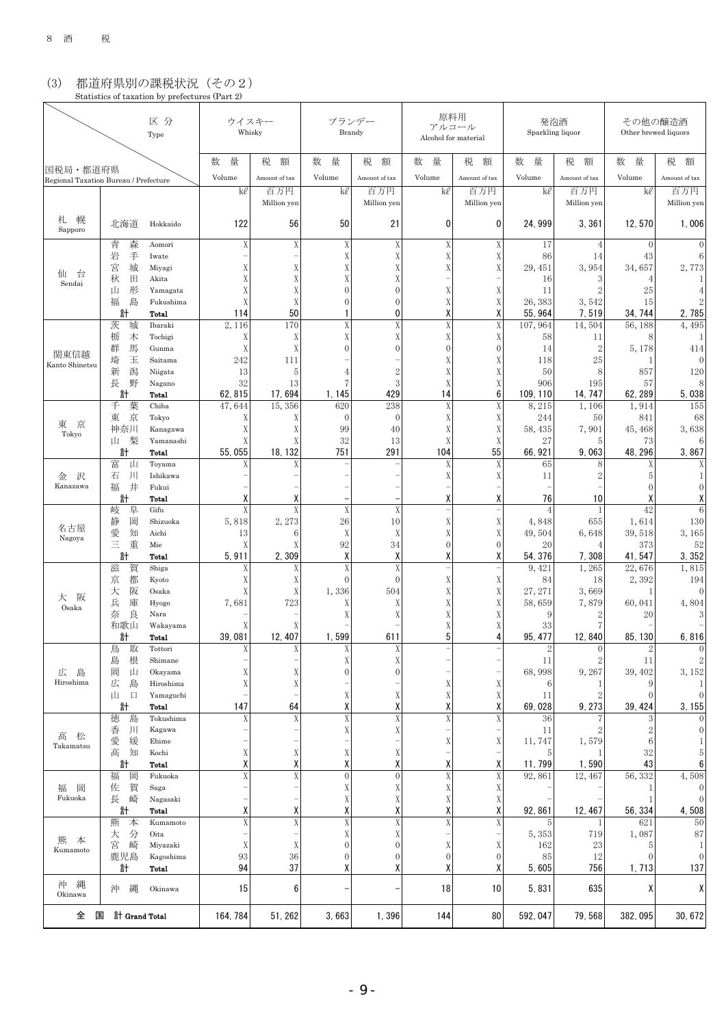### (3) 都道府県別の課税状況(その2) Statistics of taxation by prefectures (Part 2)

| 区分<br>Type                                        |                        |                        |             | ウイスキー<br>Whisky    |                                  | ブランデー<br>Brandy                  | Alcohol for material | 原料用<br>アルコール       |                    | 発泡酒<br>Sparkling liquor |                       | その他の醸造酒<br>Other brewed liquors |  |  |
|---------------------------------------------------|------------------------|------------------------|-------------|--------------------|----------------------------------|----------------------------------|----------------------|--------------------|--------------------|-------------------------|-----------------------|---------------------------------|--|--|
|                                                   |                        |                        | 量<br>数      | 税<br>額             | 数<br>量                           | 税<br>額                           | 数<br>量               | 税<br>額             | 数<br>量             | 税<br>額                  | 数<br>量                | 税<br>額                          |  |  |
| 国税局・都道府県<br>Regional Taxation Bureau / Prefecture |                        |                        | Volume      | Amount of tax      | Volume                           | Amount of tax                    | Volume               | Amount of tax      | Volume             | Amount of tax           | Volume                | Amount of tax                   |  |  |
|                                                   |                        |                        | kl          | 百万円<br>Million yen | kl                               | 百万円<br>Million yen               | kl                   | 百万円<br>Million yen | kl                 | 百万円<br>Million yen      | kl                    | 百万円<br>Million yen              |  |  |
| 幌<br>札<br>Sapporo                                 | 北海道                    | Hokkaido               | 122         | 56                 | 50                               | 21                               | $\mathbf{0}$         | 0                  | 24, 999            | 3,361                   | 12, 570               | 1,006                           |  |  |
|                                                   | 森<br>青                 | Aomori                 | Χ           | X                  | X                                | X                                | X                    | Χ                  | 17                 | 4                       | $\theta$              | $\theta$                        |  |  |
|                                                   | 岩<br>手<br>宮<br>城       | Iwate<br>Miyagi        | Χ           | X                  | X<br>Χ                           | X<br>X                           | X                    | Χ<br>X             | 86<br>29, 451      | 14<br>3,954             | 43<br>34,657          | 6<br>2,773                      |  |  |
| 台<br>仙<br>Sendai                                  | 田<br>秋                 | Akita                  | Χ           | Χ                  | Χ                                | X                                |                      |                    | 16                 | 3                       | $\overline{4}$        |                                 |  |  |
|                                                   | 形<br>山                 | Yamagata               | Χ           | Χ                  | $\mathbf{0}$                     | $\theta$                         | Χ                    | Χ                  | 11                 | $\overline{2}$          | 25                    |                                 |  |  |
|                                                   | 福<br>島<br>計            | Fukushima<br>Total     | X<br>114    | X<br>50            | $\theta$                         | $\mathbf{0}$<br>0                | Χ<br>χ               | X<br>χ             | 26, 383<br>55, 964 | 3,542<br>7,519          | 15<br>34, 744         | 2,785                           |  |  |
|                                                   | 茨<br>城                 | Ibaraki                | 2,116       | 170                | X                                | X                                | X                    | X                  | 107, 964           | 14,504                  | 56, 188               | 4,495                           |  |  |
|                                                   | 栃<br>木                 | Tochigi                | Χ           | X                  | X                                | X                                | X                    | Χ                  | 58                 | 11                      | 8                     |                                 |  |  |
| 関東信越                                              | 馬<br>群                 | Gunma                  | X           | X                  | $\Omega$                         | $\mathbf{0}$                     | $\theta$             | $\mathbf{0}$       | 14                 | $\mathbf{2}$            | 5, 178                | 414                             |  |  |
| Kanto Shinetsu                                    | 埼<br>玉<br>潟<br>新       | Saitama<br>Niigata     | 242<br>13   | 111<br>5           |                                  | $\overline{2}$                   | Χ<br>Χ               | Χ<br>X             | 118<br>50          | 25<br>8                 | 1<br>857              | $\theta$<br>120                 |  |  |
|                                                   | 野<br>長                 | Nagano                 | 32          | 13                 |                                  | 3                                | X                    | X                  | 906                | 195                     | 57                    | 8                               |  |  |
|                                                   | 計                      | Total                  | 62, 815     | 17, 694            | 1, 145                           | 429                              | 14                   | 6                  | 109, 110           | 14.747                  | 62, 289               | 5,038                           |  |  |
|                                                   | 千<br>葉                 | Chiba                  | 47,644      | 15,356             | 620                              | 238                              | X                    | X                  | 8,215              | 1,106                   | 1,914                 | 155                             |  |  |
| 京<br>東                                            | 京<br>東<br>神奈川          | Tokyo<br>Kanagawa      | Χ<br>Χ      | X<br>X             | $\mathbf{0}$<br>99               | $\mathbf{0}$<br>40               | X<br>Χ               | Χ<br>X             | 244<br>58, 435     | 50<br>7,901             | 841<br>45, 468        | 68<br>3,638                     |  |  |
| Tokyo                                             | 梨<br>山                 | Yamanashi              | Χ           | Χ                  | 32                               | 13                               | Χ                    | Χ                  | 27                 | 5                       | 73                    | 6                               |  |  |
|                                                   | 計                      | Total                  | 55,055      | 18, 132            | 751                              | 291                              | 104                  | 55                 | 66, 921            | 9,063                   | 48, 296               | 3,867                           |  |  |
|                                                   | 富<br>山<br>- JIJ<br>石   | Toyama<br>Ishikawa     | Χ           | X                  |                                  |                                  | X<br>Χ               | X                  | 65                 | 8<br>$\overline{c}$     | Χ                     | Χ                               |  |  |
| 沢<br>金<br>Kanazawa                                | 井<br>福                 | Fukui                  |             |                    |                                  |                                  |                      | Χ                  | 11                 |                         | 5<br>$\theta$         | $\theta$                        |  |  |
|                                                   | 計                      | Total                  | χ           | Х                  |                                  |                                  | χ                    | χ                  | 76                 | 10                      | Х                     | Χ                               |  |  |
|                                                   | 岐<br>阜                 | Gifu                   | X           | X                  | X                                | X                                |                      |                    | $\overline{A}$     | 1                       | 42                    | 6                               |  |  |
| 名古屋                                               | 岡<br>静<br>愛<br>知       | Shizuoka<br>Aichi      | 5,818<br>13 | 2, 273<br>6        | 26<br>X                          | 10<br>X                          | Χ<br>X               | Χ<br>X             | 4,848<br>49,504    | 655<br>6,648            | 1,614<br>39, 518      | 130<br>3,165                    |  |  |
| Nagoya                                            | 三<br>重                 | Mie                    |             |                    | 92                               | 34                               | $\Omega$             | $\mathbf{0}$       | 20                 | 4                       | 373                   | 52                              |  |  |
|                                                   | 計                      | Total                  | 5,911       | 2,309              | χ                                | Χ                                | χ                    | χ                  | 54, 376            | 7,308                   | 41, 547               | 3,352                           |  |  |
|                                                   | 滋<br>賀                 | Shiga                  | Χ           | Χ                  | X                                | X                                |                      |                    | 9,421              | 1,265                   | 22,676                | 1,815                           |  |  |
|                                                   | 都<br>京<br>阪<br>大       | Kyoto<br>Osaka         | Χ<br>Χ      | X<br>X             | $\theta$<br>1,336                | $\mathbf{0}$<br>504              | Χ<br>X               | Χ<br>X             | 84<br>27, 271      | 18<br>3,669             | 2,392<br>$\mathbf{1}$ | 194<br>$\mathbf{0}$             |  |  |
| 阪<br>大<br>Osaka                                   | 庫<br>兵                 | Hyogo                  | 7,681       | 723                | Χ                                | Χ                                | X                    | Χ                  | 58,659             | 7,879                   | 60,041                | 4,804                           |  |  |
|                                                   | 良<br>奈                 | Nara                   |             |                    |                                  | X                                | X                    | Χ                  | 9                  | $\overline{2}$          | 20                    | 3                               |  |  |
|                                                   | 和歌山<br>計               | Wakayama<br>Total      | Χ<br>39.081 | 12, 407            | 1,599                            | 611                              | Χ<br>5               | Χ<br>4             | 33<br>95, 477      | 7<br>12,840             | 85, 130               | 6,816                           |  |  |
|                                                   | 取<br>鳥                 | Tottori                | X           |                    |                                  | X                                |                      |                    | $\mathcal{O}$      | $\Omega$                |                       | $\Omega$                        |  |  |
|                                                   | 島<br>根                 | Shimane                |             |                    | Χ                                | X                                |                      |                    | 11                 | 2                       | 11                    | $\overline{2}$                  |  |  |
| 広<br>島<br>Hiroshima                               | 岡<br>山                 | Okayama                | Χ           | Χ                  | 0                                | $\boldsymbol{0}$                 |                      |                    | 68,998             | 9,267                   | 39, 402               | 3, 152                          |  |  |
|                                                   | 広<br>島<br>Щ<br>$\Box$  | Hiroshima<br>Yamaguchi | X           | X                  | Χ                                | Χ                                | Χ<br>Χ               | Χ<br>X             | 6<br>11            | 1<br>2                  | ç<br>$\theta$         | $\mathbf{0}$                    |  |  |
|                                                   | 計                      | Total                  | 147         | 64                 | Χ                                | χ                                | Χ                    | χ                  | 69,028             | 9, 273                  | 39, 424               | 3, 155                          |  |  |
|                                                   | 徳<br>島                 | Tokushima              | Χ           | X                  | $\mathbf X$                      | X                                | X                    | X                  | 36                 |                         | 3                     |                                 |  |  |
| 高<br>松                                            | $\vert$<br>香<br>媛<br>愛 | Kagawa<br>Ehime        |             |                    | X                                | X                                | Χ                    | X                  | 11<br>11,747       | $\overline{2}$<br>1,579 | $\mathbf{2}$<br>6     | $\mathbf{0}$                    |  |  |
| Takamatsu                                         | 高<br>知                 | Kochi                  | Χ           | X                  | X                                | Χ                                |                      |                    | 5                  |                         | 32                    | 5                               |  |  |
|                                                   | 計                      | Total                  | χ           | Χ                  | χ                                | χ                                | χ                    | χ                  | 11, 799            | 1,590                   | 43                    | 6                               |  |  |
|                                                   | 福<br>岡                 | Fukuoka                | X           | $\mathbf X$        | $\boldsymbol{0}$                 | $\mathbf 0$                      | $\mathbf X$          | $\mathbf X$        | 92,861             | 12, 467                 | 56, 332               | 4,508                           |  |  |
| 岡<br>福<br>Fukuoka                                 | 佐<br>賀<br>長<br>崎       | Saga<br>Nagasaki       |             |                    | X<br>Χ                           | X<br>Χ                           | X<br>Χ               | X<br>Χ             |                    |                         | -1<br>-1              | $\mathbf{0}$<br>$\mathbf{0}$    |  |  |
|                                                   | 計                      | Total                  | χ           | Χ                  | Χ                                | χ                                | χ                    | χ                  | 92, 861            | 12, 467                 | 56, 334               | 4,508                           |  |  |
|                                                   | 熊<br>本                 | Kumamoto               | X           | $\mathbf X$        | $\overline{\text{X}}$            | X                                | $\mathbf X$          | X                  | 5                  | 1                       | 621                   | 50                              |  |  |
| 熊<br>本                                            | 分<br>大                 | Oita                   |             |                    | X                                | X                                |                      |                    | 5, 353             | 719                     | 1,087                 | 87                              |  |  |
| Kumamoto                                          | 宮<br>崎<br>鹿児島          | Miyazaki<br>Kagoshima  | Χ<br>93     | Χ<br>$36\,$        | $\mathbf{0}$<br>$\boldsymbol{0}$ | $\mathbf{0}$<br>$\boldsymbol{0}$ | Χ<br>$\overline{0}$  | Χ<br>$\mathbf{0}$  | 162<br>85          | 23<br>12                | 5<br>$\theta$         | 1<br>$\mathbf{0}$               |  |  |
|                                                   | 計                      | Total                  | 94          | 37                 | χ                                | χ                                | χ                    | χ                  | 5,605              | 756                     | 1, 713                | 137                             |  |  |
| 縄<br>沖<br>Okinawa                                 | 縄<br>沖                 | Okinawa                | 15          | 6                  |                                  |                                  | 18                   | 10                 | 5,831              | 635                     | χ                     | Χ                               |  |  |
| 全                                                 | 国<br>計 Grand Total     |                        | 164, 784    | 51, 262            | 3,663                            | 1,396                            | 144                  | 80                 | 592, 047           | 79,568                  | 382, 095              | 30, 672                         |  |  |